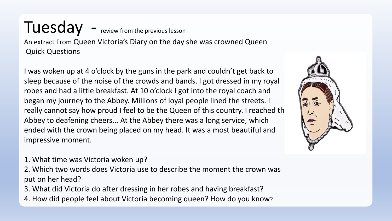### Tuesday - review from the previous lesson An extract From Queen Victoria's Diary on the day she was crowned Queen Quick Questions

I was woken up at 4 o'clock by the guns in the park and couldn't get back to sleep because of the noise of the crowds and bands. I got dressed in my royal robes and had a little breakfast. At 10 o'clock I got into the royal coach and began my journey to the Abbey. Millions of loyal people lined the streets. I really cannot say how proud I feel to be the Queen of this country. I reached th Abbey to deafening cheers... At the Abbey there was a long service, which ended with the crown being placed on my head. It was a most beautiful and impressive moment.

- 1. What time was Victoria woken up?
- 2. Which two words does Victoria use to describe the moment the crown was put on her head?
- 3. What did Victoria do after dressing in her robes and having breakfast?
- 4. How did people feel about Victoria becoming queen? How do you know?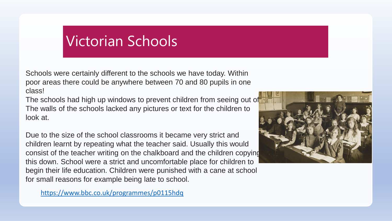# Victorian Schools

Schools were certainly different to the schools we have today. Within poor areas there could be anywhere between 70 and 80 pupils in one class!

The schools had high up windows to prevent children from seeing out of. The walls of the schools lacked any pictures or text for the children to look at.

Due to the size of the school classrooms it became very strict and children learnt by repeating what the teacher said. Usually this would consist of the teacher writing on the chalkboard and the children copying this down. School were a strict and uncomfortable place for children to begin their life education. Children were punished with a cane at school for small reasons for example being late to school.

<https://www.bbc.co.uk/programmes/p0115hdq>

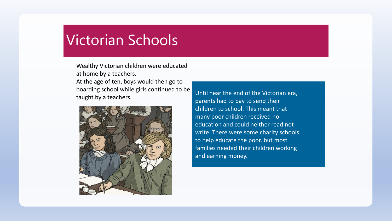## Victorian Schools

Wealthy Victorian children were educated at home by a teachers. At the age of ten, boys would then go to boarding school while girls continued to be taught by a teachers.



Until near the end of the Victorian era, parents had to pay to send their children to school. This meant that many poor children received no education and could neither read not write. There were some charity schools to help educate the poor, but most families needed their children working and earning money.